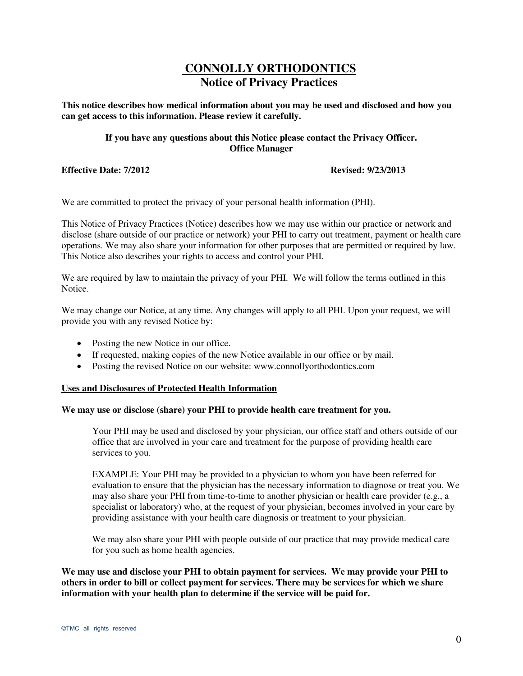# **CONNOLLY ORTHODONTICS Notice of Privacy Practices**

**This notice describes how medical information about you may be used and disclosed and how you can get access to this information. Please review it carefully.** 

# **If you have any questions about this Notice please contact the Privacy Officer. Office Manager**

**Effective Date: 7/2012 Revised: 9/23/2013** 

We are committed to protect the privacy of your personal health information (PHI).

This Notice of Privacy Practices (Notice) describes how we may use within our practice or network and disclose (share outside of our practice or network) your PHI to carry out treatment, payment or health care operations. We may also share your information for other purposes that are permitted or required by law. This Notice also describes your rights to access and control your PHI.

We are required by law to maintain the privacy of your PHI. We will follow the terms outlined in this Notice.

We may change our Notice, at any time. Any changes will apply to all PHI. Upon your request, we will provide you with any revised Notice by:

- Posting the new Notice in our office.
- If requested, making copies of the new Notice available in our office or by mail.
- Posting the revised Notice on our website: www.connollyorthodontics.com

#### **Uses and Disclosures of Protected Health Information**

### **We may use or disclose (share) your PHI to provide health care treatment for you.**

Your PHI may be used and disclosed by your physician, our office staff and others outside of our office that are involved in your care and treatment for the purpose of providing health care services to you.

EXAMPLE: Your PHI may be provided to a physician to whom you have been referred for evaluation to ensure that the physician has the necessary information to diagnose or treat you. We may also share your PHI from time-to-time to another physician or health care provider (e.g., a specialist or laboratory) who, at the request of your physician, becomes involved in your care by providing assistance with your health care diagnosis or treatment to your physician.

We may also share your PHI with people outside of our practice that may provide medical care for you such as home health agencies.

**We may use and disclose your PHI to obtain payment for services. We may provide your PHI to others in order to bill or collect payment for services. There may be services for which we share information with your health plan to determine if the service will be paid for.**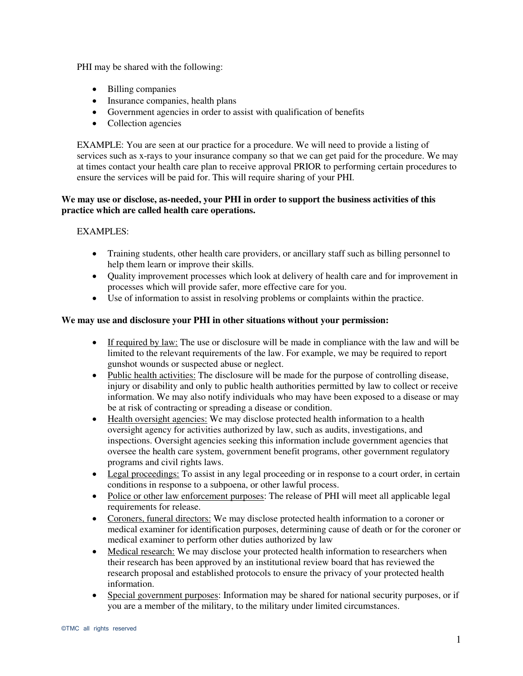PHI may be shared with the following:

- Billing companies
- Insurance companies, health plans
- Government agencies in order to assist with qualification of benefits
- Collection agencies

EXAMPLE: You are seen at our practice for a procedure. We will need to provide a listing of services such as x-rays to your insurance company so that we can get paid for the procedure. We may at times contact your health care plan to receive approval PRIOR to performing certain procedures to ensure the services will be paid for. This will require sharing of your PHI.

# **We may use or disclose, as-needed, your PHI in order to support the business activities of this practice which are called health care operations.**

# EXAMPLES:

- Training students, other health care providers, or ancillary staff such as billing personnel to help them learn or improve their skills.
- Quality improvement processes which look at delivery of health care and for improvement in processes which will provide safer, more effective care for you.
- Use of information to assist in resolving problems or complaints within the practice.

# **We may use and disclosure your PHI in other situations without your permission:**

- If required by law: The use or disclosure will be made in compliance with the law and will be limited to the relevant requirements of the law. For example, we may be required to report gunshot wounds or suspected abuse or neglect.
- Public health activities: The disclosure will be made for the purpose of controlling disease, injury or disability and only to public health authorities permitted by law to collect or receive information. We may also notify individuals who may have been exposed to a disease or may be at risk of contracting or spreading a disease or condition.
- Health oversight agencies: We may disclose protected health information to a health oversight agency for activities authorized by law, such as audits, investigations, and inspections. Oversight agencies seeking this information include government agencies that oversee the health care system, government benefit programs, other government regulatory programs and civil rights laws.
- Legal proceedings: To assist in any legal proceeding or in response to a court order, in certain conditions in response to a subpoena, or other lawful process.
- Police or other law enforcement purposes: The release of PHI will meet all applicable legal requirements for release.
- Coroners, funeral directors: We may disclose protected health information to a coroner or medical examiner for identification purposes, determining cause of death or for the coroner or medical examiner to perform other duties authorized by law
- Medical research: We may disclose your protected health information to researchers when their research has been approved by an institutional review board that has reviewed the research proposal and established protocols to ensure the privacy of your protected health information.
- Special government purposes: Information may be shared for national security purposes, or if you are a member of the military, to the military under limited circumstances.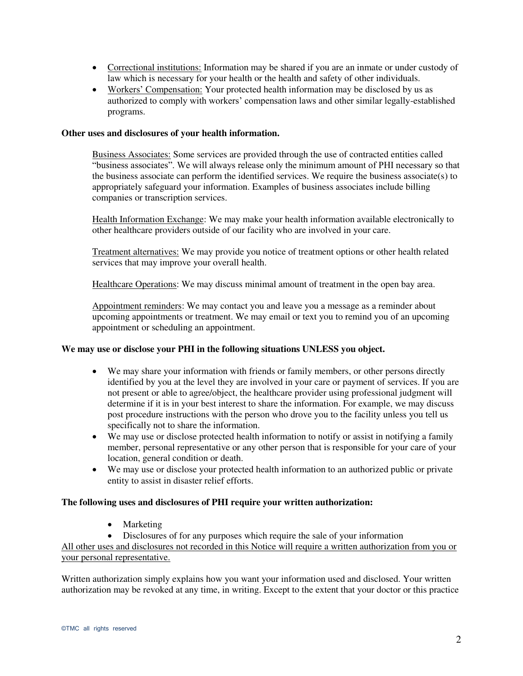- Correctional institutions: Information may be shared if you are an inmate or under custody of law which is necessary for your health or the health and safety of other individuals.
- Workers' Compensation: Your protected health information may be disclosed by us as authorized to comply with workers' compensation laws and other similar legally-established programs.

### **Other uses and disclosures of your health information.**

Business Associates: Some services are provided through the use of contracted entities called "business associates". We will always release only the minimum amount of PHI necessary so that the business associate can perform the identified services. We require the business associate(s) to appropriately safeguard your information. Examples of business associates include billing companies or transcription services.

Health Information Exchange: We may make your health information available electronically to other healthcare providers outside of our facility who are involved in your care.

Treatment alternatives: We may provide you notice of treatment options or other health related services that may improve your overall health.

Healthcare Operations: We may discuss minimal amount of treatment in the open bay area.

Appointment reminders: We may contact you and leave you a message as a reminder about upcoming appointments or treatment. We may email or text you to remind you of an upcoming appointment or scheduling an appointment.

#### **We may use or disclose your PHI in the following situations UNLESS you object.**

- We may share your information with friends or family members, or other persons directly identified by you at the level they are involved in your care or payment of services. If you are not present or able to agree/object, the healthcare provider using professional judgment will determine if it is in your best interest to share the information. For example, we may discuss post procedure instructions with the person who drove you to the facility unless you tell us specifically not to share the information.
- We may use or disclose protected health information to notify or assist in notifying a family member, personal representative or any other person that is responsible for your care of your location, general condition or death.
- We may use or disclose your protected health information to an authorized public or private entity to assist in disaster relief efforts.

# **The following uses and disclosures of PHI require your written authorization:**

• Marketing

Disclosures of for any purposes which require the sale of your information

All other uses and disclosures not recorded in this Notice will require a written authorization from you or your personal representative.

Written authorization simply explains how you want your information used and disclosed. Your written authorization may be revoked at any time, in writing. Except to the extent that your doctor or this practice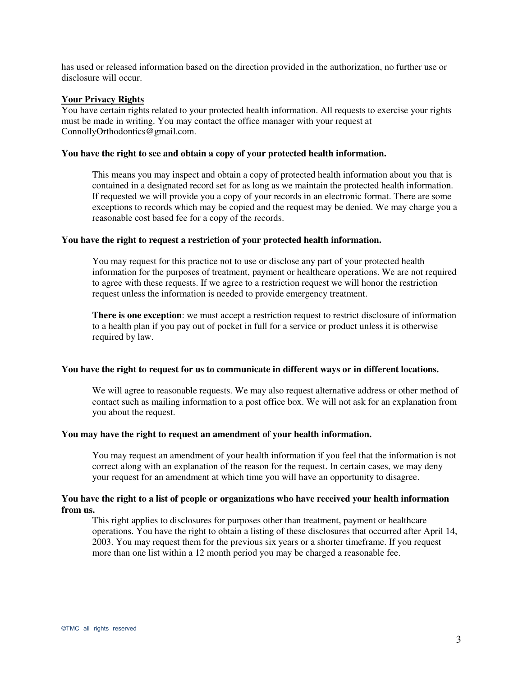has used or released information based on the direction provided in the authorization, no further use or disclosure will occur.

### **Your Privacy Rights**

You have certain rights related to your protected health information. All requests to exercise your rights must be made in writing. You may contact the office manager with your request at ConnollyOrthodontics@gmail.com.

#### **You have the right to see and obtain a copy of your protected health information.**

This means you may inspect and obtain a copy of protected health information about you that is contained in a designated record set for as long as we maintain the protected health information. If requested we will provide you a copy of your records in an electronic format. There are some exceptions to records which may be copied and the request may be denied. We may charge you a reasonable cost based fee for a copy of the records.

### **You have the right to request a restriction of your protected health information.**

You may request for this practice not to use or disclose any part of your protected health information for the purposes of treatment, payment or healthcare operations. We are not required to agree with these requests. If we agree to a restriction request we will honor the restriction request unless the information is needed to provide emergency treatment.

**There is one exception**: we must accept a restriction request to restrict disclosure of information to a health plan if you pay out of pocket in full for a service or product unless it is otherwise required by law.

#### **You have the right to request for us to communicate in different ways or in different locations.**

We will agree to reasonable requests. We may also request alternative address or other method of contact such as mailing information to a post office box. We will not ask for an explanation from you about the request.

#### **You may have the right to request an amendment of your health information.**

You may request an amendment of your health information if you feel that the information is not correct along with an explanation of the reason for the request. In certain cases, we may deny your request for an amendment at which time you will have an opportunity to disagree.

## **You have the right to a list of people or organizations who have received your health information from us.**

This right applies to disclosures for purposes other than treatment, payment or healthcare operations. You have the right to obtain a listing of these disclosures that occurred after April 14, 2003. You may request them for the previous six years or a shorter timeframe. If you request more than one list within a 12 month period you may be charged a reasonable fee.